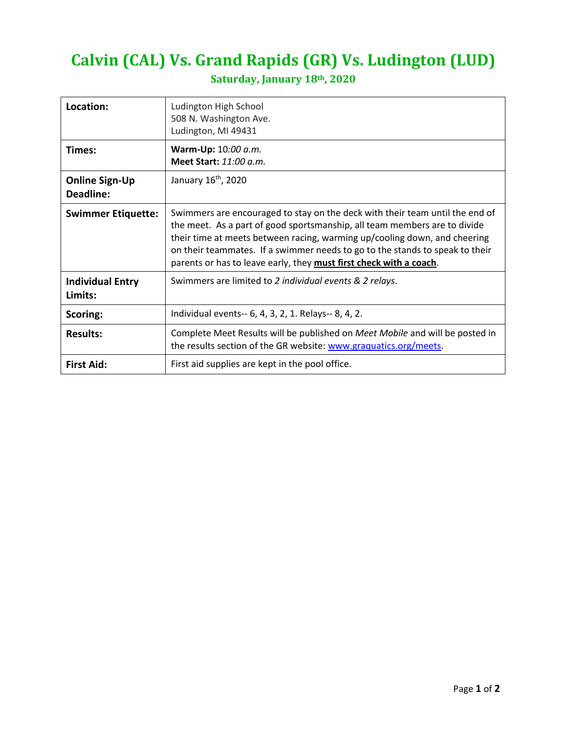## **Calvin (CAL) Vs. Grand Rapids (GR) Vs. Ludington (LUD)**

| Location:                          | Ludington High School<br>508 N. Washington Ave.<br>Ludington, MI 49431                                                                                                                                                                                                                                                                                                                       |
|------------------------------------|----------------------------------------------------------------------------------------------------------------------------------------------------------------------------------------------------------------------------------------------------------------------------------------------------------------------------------------------------------------------------------------------|
| Times:                             | Warm-Up: 10:00 a.m.<br>Meet Start: $11:00 a.m.$                                                                                                                                                                                                                                                                                                                                              |
| <b>Online Sign-Up</b><br>Deadline: | January 16 <sup>th</sup> , 2020                                                                                                                                                                                                                                                                                                                                                              |
| <b>Swimmer Etiquette:</b>          | Swimmers are encouraged to stay on the deck with their team until the end of<br>the meet. As a part of good sportsmanship, all team members are to divide<br>their time at meets between racing, warming up/cooling down, and cheering<br>on their teammates. If a swimmer needs to go to the stands to speak to their<br>parents or has to leave early, they must first check with a coach. |
| <b>Individual Entry</b><br>Limits: | Swimmers are limited to 2 individual events & 2 relays.                                                                                                                                                                                                                                                                                                                                      |
| Scoring:                           | Individual events-- 6, 4, 3, 2, 1. Relays-- 8, 4, 2.                                                                                                                                                                                                                                                                                                                                         |
| <b>Results:</b>                    | Complete Meet Results will be published on Meet Mobile and will be posted in<br>the results section of the GR website: www.graquatics.org/meets.                                                                                                                                                                                                                                             |
| <b>First Aid:</b>                  | First aid supplies are kept in the pool office.                                                                                                                                                                                                                                                                                                                                              |

## **Saturday, January 18th, 2020**